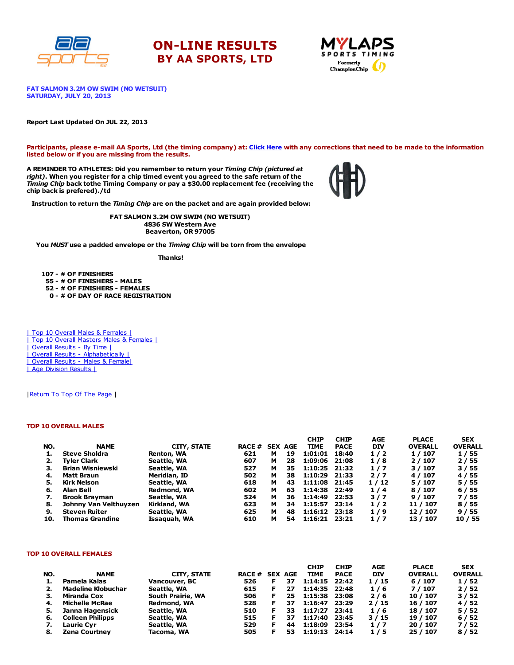





FAT SALMON 3.2M OW SWIM (NO WETSUIT) SATURDAY, JULY 20, 2013

#### Report Last Updated On JUL 22, 2013

Participants, please e-mail AA Sports, Ltd (the timing company) at: Click [Here](http://www.racecenter.com/aa-sports-results-inquiry/) with any corrections that need to be made to the information listed below or if you are missing from the results.

A REMINDER TO ATHLETES: Did you remember to return your Timing Chip (pictured at right). When you register for a chip timed event you agreed to the safe return of the Timing Chip back tothe Timing Company or pay a \$30.00 replacement fee (receiving the chip back is prefered)./td



Instruction to return the Timing Chip are on the packet and are again provided below:

FAT SALMON 3.2M OW SWIM (NO WETSUIT) 4836 SW Western Ave Beaverton, OR 97005

You MUST use a padded envelope or the Timing Chip will be torn from the envelope

Thanks!

 - # OF FINISHERS - # OF FINISHERS - MALES - # OF FINISHERS - FEMALES - # OF DAY OF RACE REGISTRATION

| Top 10 Overall Males & Females | | Top 10 Overall Masters Males & Females | | Overall Results - By Time | | Overall Results - [Alphabetically](http://www.racecenter.com/results/2013/res_s3al13.htm) | | Overall Results - Males & [Female|](http://www.racecenter.com/results/2013/res_s3og13.htm) | Age [Division](http://www.racecenter.com/results/2013/res_s3ag13.htm) Results |

| Return To Top Of The Page |

### TOP 10 OVERALL MALES

|     |                         |              |               |   |                | <b>CHIP</b>     | <b>CHIP</b> | AGE        | <b>PLACE</b>   | SEX            |
|-----|-------------------------|--------------|---------------|---|----------------|-----------------|-------------|------------|----------------|----------------|
| NO. | <b>NAME</b>             | CITY, STATE  | <b>RACE #</b> |   | <b>SEX AGE</b> | <b>TIME</b>     | <b>PACE</b> | <b>DIV</b> | <b>OVERALL</b> | <b>OVERALL</b> |
|     | <b>Steve Sholdra</b>    | Renton, WA   | 621           | м | 19             | 1:01:01         | 18:40       | 1/2        | 1 / 107        | 1/55           |
|     | Tvler Clark             | Seattle, WA  | 607           | м | 28             | 1:09:06         | 21:08       | 1/8        | 2/107          | 2/55           |
| з.  | <b>Brian Wisniewski</b> | Seattle, WA  | 527           | м | 35             | $1:10:25$ 21:32 |             | 1/7        | 3/107          | 3/55           |
| 4.  | Matt Braun              | Meridian, ID | 502           | м | 38             | 1:10:29         | 21:33       | 2/7        | 4 / 107        | 4/55           |
| 5.  | Kirk Nelson             | Seattle, WA  | 618           | м | 43             | 1:11:08 21:45   |             | 1/12       | 5/107          | 5 / 55         |
| 6.  | Alan Bell               | Redmond, WA  | 602           | м | 63             | 1:14:38 22:49   |             | 1/4        | 8 / 107        | 6/55           |
|     | <b>Brook Brayman</b>    | Seattle, WA  | 524           | м | 36             | 1:14:49         | 22:53       | 3/7        | 9/107          | 7/55           |
| 8.  | Johnny Van Velthuyzen   | Kirkland, WA | 623           | м | 34             | 1:15:57         | 23:14       | 1/2        | 11 / 107       | 8 / 55         |
| 9.  | <b>Steven Ruiter</b>    | Seattle, WA  | 625           | м | 48             | $1:16:12$ 23:18 |             | 1/9        | 12 / 107       | 9/55           |
| 10. | <b>Thomas Grandine</b>  | Issaguah, WA | 610           | м | 54             | $1:16:21$ 23:21 |             | 1/7        | 13 / 107       | 10 / 55        |

#### TOP 10 OVERALL FEMALES

|     |                           |                   |                |    | <b>CHIP</b>   | <b>CHIP</b> | AGE        | <b>PLACE</b>   | <b>SEX</b>     |
|-----|---------------------------|-------------------|----------------|----|---------------|-------------|------------|----------------|----------------|
| NO. | <b>NAME</b>               | CITY, STATE       | RACE # SEX AGE |    | <b>TIME</b>   | <b>PACE</b> | <b>DIV</b> | <b>OVERALL</b> | <b>OVERALL</b> |
| ı.  | Pamela Kalas              | Vancouver, BC     | 526            | 37 | 1:14:15 22:42 |             | 1/15       | 6/107          | 1/52           |
| 2.  | <b>Madeline Klobuchar</b> | Seattle, WA       | 615            | 27 | 1:14:35 22:48 |             | 1/6        | 7/107          | 2/52           |
| з.  | <b>Miranda Cox</b>        | South Prairie, WA | 506            | 25 | 1:15:38 23:08 |             | 2/6        | 10 / 107       | 3/52           |
| 4.  | <b>Michelle McRae</b>     | Redmond, WA       | 528            | 37 | 1:16:47       | 23:29       | 2/15       | 16 / 107       | 4/52           |
|     | Janna Hagensick           | Seattle, WA       | 510            | 33 | 1:17:27       | 23:41       | 1/6        | 18 / 107       | 5/52           |
| 6.  | <b>Colleen Philipps</b>   | Seattle, WA       | 515            | 37 | 1:17:40       | 23:45       | 3/15       | 19 / 107       | 6/52           |
| 7.  | Laurie Cyr                | Seattle, WA       | 529            | 44 | 1:18:09       | 23:54       | 1/7        | 20 / 107       | 7/52           |
| 8.  | <b>Zena Courtney</b>      | Tacoma, WA        | 505            | 53 | 1:19:13       | 24:14       | 1/5        | 25 / 107       | 8/52           |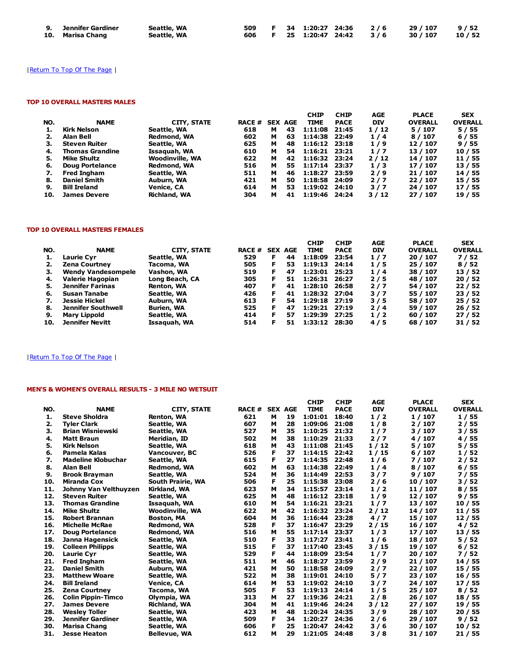| 9. Jennifer Gardiner | Seattle, WA |  |  |  | 509 F 34 1:20:27 24:36 2/6 29/107 9/52  |  |
|----------------------|-------------|--|--|--|-----------------------------------------|--|
| 10. Marisa Chang     | Seattle, WA |  |  |  | 606 F 25 1:20:47 24:42 3/6 30/107 10/52 |  |

# | Return To Top Of The Page |

## TOP 10 OVERALL MASTERS MALES

|     |                        |                        |               |   |                | <b>CHIP</b>     | <b>CHIP</b> | AGE        | <b>PLACE</b>   | <b>SEX</b>     |
|-----|------------------------|------------------------|---------------|---|----------------|-----------------|-------------|------------|----------------|----------------|
| NO. | <b>NAME</b>            | CITY, STATE            | <b>RACE #</b> |   | <b>SEX AGE</b> | <b>TIME</b>     | <b>PACE</b> | <b>DIV</b> | <b>OVERALL</b> | <b>OVERALL</b> |
|     | Kirk Nelson            | Seattle, WA            | 618           | м | 43             | 1:11:08         | 21:45       | 1/12       | 5/107          | 5/55           |
| 2.  | Alan Bell              | Redmond, WA            | 602           | м | 63             | 1:14:38 22:49   |             | 1/4        | 8 / 107        | 6/55           |
| з.  | <b>Steven Ruiter</b>   | Seattle, WA            | 625           | м | 48             | $1:16:12$ 23:18 |             | 1/9        | 12 / 107       | 9/55           |
| 4.  | <b>Thomas Grandine</b> | Issaguah, WA           | 610           | м | 54             | $1:16:21$ 23:21 |             | 1/7        | 13 / 107       | 10/55          |
| 5.  | <b>Mike Shultz</b>     | <b>Woodinville, WA</b> | 622           | м | 42             | 1:16:32 23:24   |             | 2/12       | 14 / 107       | 11 / 55        |
| 6.  | Doug Portelance        | <b>Redmond, WA</b>     | 516           | м | 55             | 1:17:14 23:37   |             | 1/3        | 17 / 107       | 13 / 55        |
| 7.  | <b>Fred Ingham</b>     | Seattle, WA            | 511           | м | 46             | 1:18:27         | 23:59       | 2/9        | 21 / 107       | 14 / 55        |
| 8.  | <b>Daniel Smith</b>    | Auburn, WA             | 421           | м | 50             | 1:18:58         | 24:09       | 2/7        | 22 / 107       | 15 / 55        |
| 9.  | <b>Bill Ireland</b>    | Venice, CA             | 614           | м | 53             | 1:19:02 24:10   |             | 3/7        | 24 / 107       | 17/55          |
| 10. | <b>James Devere</b>    | <b>Richland, WA</b>    | 304           | м | 41             | 1:19:46 24:24   |             | 3/12       | 27 / 107       | 19 / 55        |

## TOP 10 OVERALL MASTERS FEMALES

|                           |                    |     |    |               | <b>CHIP</b>    | <b>CHIP</b> |                                                                             |                | <b>SEX</b>                 |
|---------------------------|--------------------|-----|----|---------------|----------------|-------------|-----------------------------------------------------------------------------|----------------|----------------------------|
| <b>NAME</b>               | <b>CITY, STATE</b> |     |    |               | <b>TIME</b>    | <b>PACE</b> | <b>DIV</b>                                                                  | <b>OVERALL</b> | <b>OVERALL</b>             |
| Laurie Cvr                | Seattle, WA        | 529 | F  | 44            | 1:18:09        | 23:54       | 1/7                                                                         | 20 / 107       | 7/52                       |
| <b>Zena Courtney</b>      | Tacoma, WA         | 505 | F  | 53            | 1:19:13        | 24:14       | 1/5                                                                         | 25 / 107       | 8/52                       |
| <b>Wendy Vandesompele</b> | Vashon, WA         | 519 | F. | 47            |                |             | 1/4                                                                         | 38 / 107       | 13/52                      |
| Valerie Hagopian          | Long Beach, CA     | 305 | F  | 51            | 1:26:31        | 26:27       | 2/5                                                                         | 48 / 107       | 20/52                      |
| <b>Jennifer Farinas</b>   | Renton, WA         | 407 | F  | 41            | 1:28:10        | 26:58       | 2/7                                                                         | 54 / 107       | 22/52                      |
| Susan Tanabe              | Seattle, WA        | 426 |    | 41            |                |             | 3/7                                                                         | 55 / 107       | 23/52                      |
| <b>Jessie Hickel</b>      | Auburn, WA         | 613 | Е  | 54            |                |             | 3/5                                                                         | 58 / 107       | 25/52                      |
| Jennifer Southwell        | Burien, WA         | 525 | Е  | 47            |                |             | 2/4                                                                         | 59 / 107       | 26/52                      |
| Mary Lippold              | Seattle, WA        | 414 | Е  | 57            | 1:29:39        | 27:25       | 1/2                                                                         | 60 / 107       | 27/52                      |
| Jennifer Nevitt           | Issaguah, WA       | 514 | F  | 51            |                | 28:30       | 4/5                                                                         | 68 / 107       | 31/52                      |
|                           |                    |     |    | <b>RACE #</b> | <b>SEX AGE</b> |             | 1:23:01 25:23<br>1:28:32 27:04<br>1:29:18 27:19<br>1:29:21 27:19<br>1:33:12 |                | <b>AGE</b><br><b>PLACE</b> |

# | Return To Top Of The Page |

# MEN'S & WOMEN'S OVERALL RESULTS - 3 MILE NO WETSUIT

|     |                           |                        |       |   |                | <b>CHIP</b> | <b>CHIP</b> | <b>AGE</b> | <b>PLACE</b>   | <b>SEX</b>     |
|-----|---------------------------|------------------------|-------|---|----------------|-------------|-------------|------------|----------------|----------------|
| NO. | <b>NAME</b>               | <b>CITY, STATE</b>     | RACE# |   | <b>SEX AGE</b> | <b>TIME</b> | <b>PACE</b> | <b>DIV</b> | <b>OVERALL</b> | <b>OVERALL</b> |
| 1.  | <b>Steve Sholdra</b>      | Renton, WA             | 621   | м | 19             | 1:01:01     | 18:40       | 1/2        | 1/107          | 1/55           |
| 2.  | <b>Tyler Clark</b>        | Seattle, WA            | 607   | м | 28             | 1:09:06     | 21:08       | 1/8        | 2/107          | 2/55           |
| з.  | <b>Brian Wisniewski</b>   | Seattle, WA            | 527   | м | 35             | 1:10:25     | 21:32       | 1/7        | 3/107          | 3/55           |
| 4.  | <b>Matt Braun</b>         | Meridian, ID           | 502   | м | 38             | 1:10:29     | 21:33       | 2/7        | 4/107          | 4 / 55         |
| 5.  | <b>Kirk Nelson</b>        | Seattle, WA            | 618   | м | 43             | 1:11:08     | 21:45       | 1/12       | 5/107          | 5 / 55         |
| 6.  | Pamela Kalas              | Vancouver, BC          | 526   | F | 37             | 1:14:15     | 22:42       | 1/15       | 6/107          | 1/52           |
| 7.  | <b>Madeline Klobuchar</b> | Seattle, WA            | 615   | F | 27             | 1:14:35     | 22:48       | 1/6        | 7 / 107        | 2/52           |
| 8.  | <b>Alan Bell</b>          | Redmond, WA            | 602   | м | 63             | 1:14:38     | 22:49       | 1/4        | 8 / 107        | 6/55           |
| 9.  | <b>Brook Brayman</b>      | Seattle, WA            | 524   | м | 36             | 1:14:49     | 22:53       | 3/7        | 9/107          | 7/55           |
| 10. | <b>Miranda Cox</b>        | South Prairie, WA      | 506   | F | 25             | 1:15:38     | 23:08       | 2/6        | 10 / 107       | 3/52           |
| 11. | Johnny Van Velthuyzen     | Kirkland, WA           | 623   | м | 34             | 1:15:57     | 23:14       | 1/2        | 11 / 107       | 8/55           |
| 12. | <b>Steven Ruiter</b>      | Seattle, WA            | 625   | м | 48             | 1:16:12     | 23:18       | 1/9        | 12 / 107       | 9/55           |
| 13. | <b>Thomas Grandine</b>    | Issaquah, WA           | 610   | м | 54             | 1:16:21     | 23:21       | 1/7        | 13 / 107       | 10/55          |
| 14. | <b>Mike Shultz</b>        | <b>Woodinville, WA</b> | 622   | м | 42             | 1:16:32     | 23:24       | 2/12       | 14 / 107       | 11 / 55        |
| 15. | <b>Robert Brannan</b>     | <b>Boston, MA</b>      | 604   | м | 36             | 1:16:44     | 23:28       | 4/7        | 15 / 107       | 12 / 55        |
| 16. | <b>Michelle McRae</b>     | Redmond, WA            | 528   | F | 37             | 1:16:47     | 23:29       | 2/15       | 16 / 107       | 4/52           |
| 17. | <b>Doug Portelance</b>    | Redmond, WA            | 516   | м | 55             | 1:17:14     | 23:37       | 1/3        | 17 / 107       | 13/55          |
| 18. | Janna Hagensick           | Seattle, WA            | 510   | F | 33             | 1:17:27     | 23:41       | 1/6        | 18 / 107       | 5/52           |
| 19. | <b>Colleen Philipps</b>   | Seattle, WA            | 515   | F | 37             | 1:17:40     | 23:45       | 3/15       | 19 / 107       | 6/52           |
| 20. | <b>Laurie Cyr</b>         | Seattle, WA            | 529   | F | 44             | 1:18:09     | 23:54       | 1/7        | 20 / 107       | 7/52           |
| 21. | <b>Fred Ingham</b>        | Seattle, WA            | 511   | м | 46             | 1:18:27     | 23:59       | 2/9        | 21/107         | 14 / 55        |
| 22. | <b>Daniel Smith</b>       | Auburn, WA             | 421   | м | 50             | 1:18:58     | 24:09       | 2/7        | 22 / 107       | 15 / 55        |
| 23. | <b>Matthew Woare</b>      | Seattle, WA            | 522   | м | 38             | 1:19:01     | 24:10       | 5/7        | 23 / 107       | 16 / 55        |
| 24. | <b>Bill Ireland</b>       | Venice, CA             | 614   | м | 53             | 1:19:02     | 24:10       | 3/7        | 24 / 107       | 17/55          |
| 25. | <b>Zena Courtney</b>      | Tacoma, WA             | 505   | F | 53             | 1:19:13     | 24:14       | 1/5        | 25 / 107       | 8/52           |
| 26. | <b>Colin Pippin-Timco</b> | Olympia, WA            | 313   | M | 27             | 1:19:36     | 24:21       | 2/8        | 26 / 107       | 18 / 55        |
| 27. | <b>James Devere</b>       | Richland, WA           | 304   | м | 41             | 1:19:46     | 24:24       | 3/12       | 27 / 107       | 19 / 55        |
| 28. | <b>Wesley Toller</b>      | Seattle, WA            | 423   | M | 48             | 1:20:24     | 24:35       | 3/9        | 28 / 107       | 20 / 55        |
| 29. | <b>Jennifer Gardiner</b>  | Seattle, WA            | 509   | F | 34             | 1:20:27     | 24:36       | 2/6        | 29 / 107       | 9/52           |
| 30. | <b>Marisa Chang</b>       | Seattle, WA            | 606   | F | 25             | 1:20:47     | 24:42       | 3/6        | 30 / 107       | 10 / 52        |
| 31. | <b>Jesse Heaton</b>       | <b>Bellevue, WA</b>    | 612   | м | 29             | 1:21:05     | 24:48       | 3/8        | 31/107         | 21 / 55        |